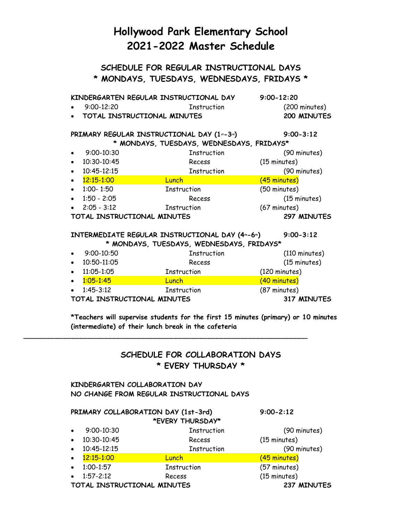# **Hollywood Park Elementary School 2021-2022 Master Schedule**

#### **SCHEDULE FOR REGULAR INSTRUCTIONAL DAYS \* MONDAYS, TUESDAYS, WEDNESDAYS, FRIDAYS \***

| KINDERGARTEN REGULAR INSTRUCTIONAL DAY      | $9:00 - 12:20$ |                         |
|---------------------------------------------|----------------|-------------------------|
| $\bullet$ 9:00-12:20                        | Instruction    | $(200 \text{ minutes})$ |
| • TOTAL INSTRUCTIONAL MINUTES               |                | <b>200 MINUTES</b>      |
| PRIMARY REGULAR INSTRUCTIONAL DAY (1st-3rd) |                | $9:00 - 3:12$           |

| * MONDAYS, TUESDAYS, WEDNESDAYS, FRIDAYS* |                       |             |                        |
|-------------------------------------------|-----------------------|-------------|------------------------|
|                                           | $\bullet$ 9:00-10:30  | Instruction | (90 minutes)           |
|                                           | $\bullet$ 10:30-10:45 | Recess      | $(15 \text{ minutes})$ |
|                                           | $\bullet$ 10:45-12:15 | Tnstruction | $(90 \text{ minutes})$ |

| 10.19 IL.IY           | ----------- | $\sqrt{2}$ uniquely    |
|-----------------------|-------------|------------------------|
| $\bullet$ 12:15-1:00  | Lunch       | (45 minutes)           |
| $\bullet$ 1:00-1:50   | Instruction | $(50 \text{ minutes})$ |
| $\bullet$ 1:50 - 2:05 | Recess      | $(15$ minutes)         |
| • $2:05 - 3:12$       | Instruction | $(67$ minutes)         |
|                       |             |                        |

**TOTAL INSTRUCTIONAL MINUTES 297 MINUTES**

#### **INTERMEDIATE REGULAR INSTRUCTIONAL DAY (4th-6th) 9:00-3:12 \* MONDAYS, TUESDAYS, WEDNESDAYS, FRIDAYS\***

| MUNUATU, TULUUATU, WLUNLUUATU, TAIUATU |                             |                    |                         |
|----------------------------------------|-----------------------------|--------------------|-------------------------|
| $\bullet$                              | $9:00 - 10:50$              | Instruction        | $(110 \text{ minutes})$ |
| $\bullet$                              | 10:50-11:05                 | Recess             | $(15$ minutes)          |
| $\bullet$                              | 11:05-1:05                  | Instruction        | $(120 \text{ minutes})$ |
|                                        | $\bullet$ 1:05-1:45         | Lunch              | (40 minutes)            |
| $\bullet$                              | $1:45-3:12$                 | <b>Instruction</b> | $(87$ minutes)          |
|                                        | TOTAL INSTRUCTIONAL MINUTES | 317 MINUTES        |                         |

**\*Teachers will supervise students for the first 15 minutes (primary) or 10 minutes (intermediate) of their lunch break in the cafeteria**

#### **SCHEDULE FOR COLLABORATION DAYS \* EVERY THURSDAY \***

#### **KINDERGARTEN COLLABORATION DAY NO CHANGE FROM REGULAR INSTRUCTIONAL DAYS**

**\_\_\_\_\_\_\_\_\_\_\_\_\_\_\_\_\_\_\_\_\_\_\_\_\_\_\_\_\_\_\_\_\_\_\_\_\_\_\_\_\_\_\_\_\_\_\_\_\_\_\_\_\_\_\_\_\_\_\_\_\_\_\_\_\_\_\_\_\_**

| PRIMARY COLLABORATION DAY (1st-3rd)<br>*EVERY THURSDAY* |                | $9:00 - 2:12$ |                |
|---------------------------------------------------------|----------------|---------------|----------------|
|                                                         | $9:00 - 10:30$ | Instruction   | (90 minutes)   |
| $\bullet$                                               | 10:30-10:45    | Recess        | $(15$ minutes) |
| $\bullet$                                               | 10:45-12:15    | Instruction   | (90 minutes)   |
| $\bullet$                                               | $12:15 - 1:00$ | <u>Lunch</u>  | (45 minutes)   |
|                                                         | $1:00-1:57$    | Instruction   | (57 minutes)   |
|                                                         | $1:57 - 2:12$  | Recess        | $(15$ minutes) |
| TOTAL INSTRUCTIONAL MINUTES                             |                |               | 237 MINUTES    |